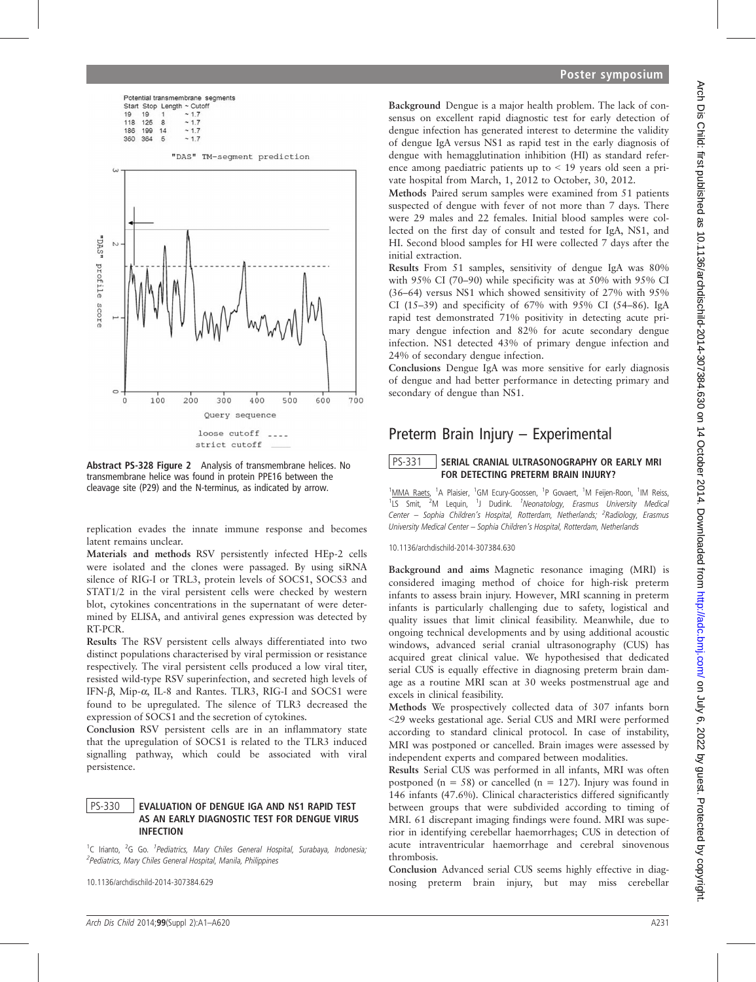|            |                              | Potential transmembrane segments |
|------------|------------------------------|----------------------------------|
|            |                              | Start Stop Length ~ Cutoff       |
|            | $19 \t19 \t1 \t\t\t \sim 17$ |                                  |
| 118 125 8  |                              | ~17                              |
| 186 199 14 |                              | ~17                              |

 $~17$ 

360 364 5



Abstract PS-328 Figure 2 Analysis of transmembrane helices. No transmembrane helice was found in protein PPE16 between the cleavage site (P29) and the N-terminus, as indicated by arrow.

replication evades the innate immune response and becomes latent remains unclear.

Materials and methods RSV persistently infected HEp-2 cells were isolated and the clones were passaged. By using siRNA silence of RIG-I or TRL3, protein levels of SOCS1, SOCS3 and STAT1/2 in the viral persistent cells were checked by western blot, cytokines concentrations in the supernatant of were determined by ELISA, and antiviral genes expression was detected by RT-PCR.

Results The RSV persistent cells always differentiated into two distinct populations characterised by viral permission or resistance respectively. The viral persistent cells produced a low viral titer, resisted wild-type RSV superinfection, and secreted high levels of IFN- $\beta$ , Mip- $\alpha$ , IL-8 and Rantes. TLR3, RIG-I and SOCS1 were found to be upregulated. The silence of TLR3 decreased the expression of SOCS1 and the secretion of cytokines.

Conclusion RSV persistent cells are in an inflammatory state that the upregulation of SOCS1 is related to the TLR3 induced signalling pathway, which could be associated with viral persistence.

#### PS-330 | EVALUATION OF DENGUE IGA AND NS1 RAPID TEST AS AN EARLY DIAGNOSTIC TEST FOR DENGUE VIRUS INFECTION

<sup>1</sup>C Irianto, <sup>2</sup>G Go. <sup>1</sup>Pediatrics, Mary Chiles General Hospital, Surabaya, Indonesia; <sup>2</sup> Pediatrics, Mary Chiles General Hospital, Manila, Philippines

10.1136/archdischild-2014-307384.629

### Poster symposium

Background Dengue is a major health problem. The lack of consensus on excellent rapid diagnostic test for early detection of dengue infection has generated interest to determine the validity of dengue IgA versus NS1 as rapid test in the early diagnosis of dengue with hemagglutination inhibition (HI) as standard reference among paediatric patients up to < 19 years old seen a private hospital from March, 1, 2012 to October, 30, 2012.

Methods Paired serum samples were examined from 51 patients suspected of dengue with fever of not more than 7 days. There were 29 males and 22 females. Initial blood samples were collected on the first day of consult and tested for IgA, NS1, and HI. Second blood samples for HI were collected 7 days after the initial extraction.

Results From 51 samples, sensitivity of dengue IgA was 80% with 95% CI (70–90) while specificity was at 50% with 95% CI (36–64) versus NS1 which showed sensitivity of 27% with 95% CI (15–39) and specificity of 67% with 95% CI (54–86). IgA rapid test demonstrated 71% positivity in detecting acute primary dengue infection and 82% for acute secondary dengue infection. NS1 detected 43% of primary dengue infection and 24% of secondary dengue infection.

Conclusions Dengue IgA was more sensitive for early diagnosis of dengue and had better performance in detecting primary and secondary of dengue than NS1.

# Preterm Brain Injury – Experimental

# PS-331 SERIAL CRANIAL ULTRASONOGRAPHY OR EARLY MRI FOR DETECTING PRETERM BRAIN INJURY?

<sup>1</sup>MMA Raets, <sup>1</sup>A Plaisier, <sup>1</sup>GM Ecury-Goossen, <sup>1</sup>P Govaert, <sup>1</sup>M Feijen-Roon, <sup>1</sup>IM Reiss, <sup>1</sup>LS Smit, <sup>2</sup>M Lequin, <sup>1</sup>J Dudink. <sup>1</sup>Neonatology, Erasmus University Medica. Center - Sophia Children's Hospital, Rotterdam, Netherlands; <sup>2</sup>Radiology, Erasmus University Medical Center – Sophia Children's Hospital, Rotterdam, Netherlands

#### 10.1136/archdischild-2014-307384.630

Background and aims Magnetic resonance imaging (MRI) is considered imaging method of choice for high-risk preterm infants to assess brain injury. However, MRI scanning in preterm infants is particularly challenging due to safety, logistical and quality issues that limit clinical feasibility. Meanwhile, due to ongoing technical developments and by using additional acoustic windows, advanced serial cranial ultrasonography (CUS) has acquired great clinical value. We hypothesised that dedicated serial CUS is equally effective in diagnosing preterm brain damage as a routine MRI scan at 30 weeks postmenstrual age and excels in clinical feasibility.

Methods We prospectively collected data of 307 infants born <29 weeks gestational age. Serial CUS and MRI were performed according to standard clinical protocol. In case of instability, MRI was postponed or cancelled. Brain images were assessed by independent experts and compared between modalities.

Results Serial CUS was performed in all infants, MRI was often postponed ( $n = 58$ ) or cancelled ( $n = 127$ ). Injury was found in 146 infants (47.6%). Clinical characteristics differed significantly between groups that were subdivided according to timing of MRI. 61 discrepant imaging findings were found. MRI was superior in identifying cerebellar haemorrhages; CUS in detection of acute intraventricular haemorrhage and cerebral sinovenous thrombosis.

Conclusion Advanced serial CUS seems highly effective in diagnosing preterm brain injury, but may miss cerebellar